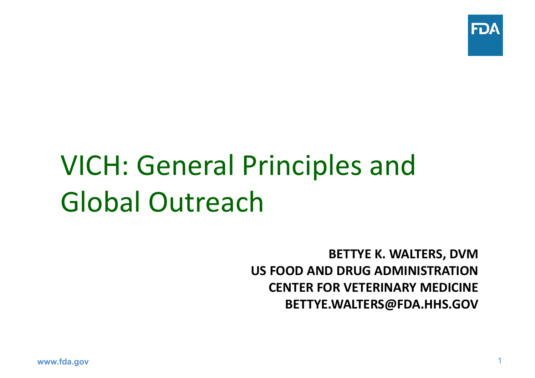

# VICH: General Principles and Global Outreach

**BETTYE K. WALTERS, DVM US FOOD AND DRUG ADMINISTRATIONCENTER FOR VETERINARY MEDICINEBETTYE.WALTERS@FDA.HHS.GOV**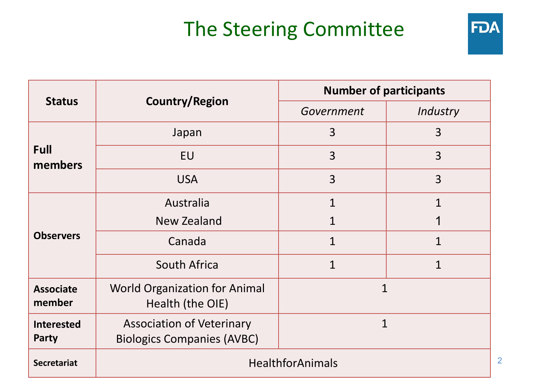### The Steering Committee



| <b>Status</b>                     | <b>Country/Region</b>                                                 | <b>Number of participants</b> |                |
|-----------------------------------|-----------------------------------------------------------------------|-------------------------------|----------------|
|                                   |                                                                       | Government                    | Industry       |
| <b>Full</b><br>members            | Japan                                                                 | 3                             | 3              |
|                                   | <b>EU</b>                                                             | 3                             | $\overline{3}$ |
|                                   | <b>USA</b>                                                            | 3                             | 3              |
| <b>Observers</b>                  | Australia                                                             | $\mathbf 1$                   | $\overline{1}$ |
|                                   | <b>New Zealand</b>                                                    | 1                             | 1              |
|                                   | Canada                                                                | $\mathbf 1$                   | $\overline{1}$ |
|                                   | <b>South Africa</b>                                                   | $\mathbf 1$                   | $\overline{1}$ |
| <b>Associate</b><br>member        | <b>World Organization for Animal</b><br>Health (the OIE)              | $\mathbf{1}$                  |                |
| <b>Interested</b><br><b>Party</b> | <b>Association of Veterinary</b><br><b>Biologics Companies (AVBC)</b> | 1                             |                |
| <b>Secretariat</b>                | <b>HealthforAnimals</b>                                               |                               |                |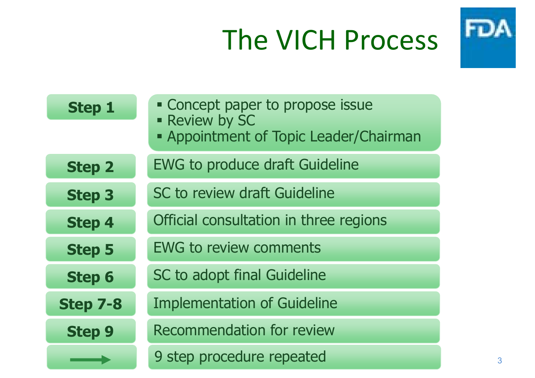# The VICH Process



| <b>Step 1</b>   | • Concept paper to propose issue<br>- Review by SC<br>- Appointment of Topic Leader/Chairman |  |
|-----------------|----------------------------------------------------------------------------------------------|--|
| <b>Step 2</b>   | <b>EWG to produce draft Guideline</b>                                                        |  |
| <b>Step 3</b>   | SC to review draft Guideline                                                                 |  |
| <b>Step 4</b>   | Official consultation in three regions                                                       |  |
| <b>Step 5</b>   | <b>EWG to review comments</b>                                                                |  |
| <b>Step 6</b>   | SC to adopt final Guideline                                                                  |  |
| <b>Step 7-8</b> | <b>Implementation of Guideline</b>                                                           |  |
| <b>Step 9</b>   | <b>Recommendation for review</b>                                                             |  |
|                 | 9 step procedure repeated                                                                    |  |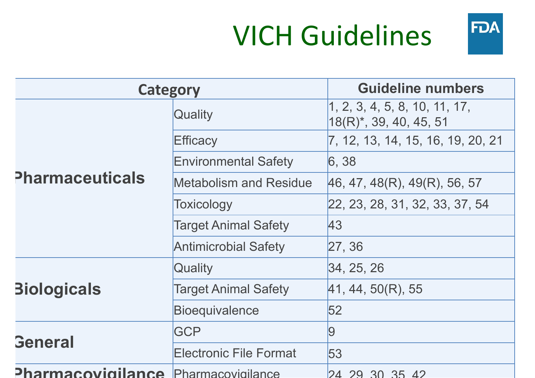# VICH Guidelines



| <b>Category</b>                     |                               | <b>Guideline numbers</b>                                      |
|-------------------------------------|-------------------------------|---------------------------------------------------------------|
|                                     | Quality                       | 1, 2, 3, 4, 5, 8, 10, 11, 17,<br>$ 18(R)^{*}, 39, 40, 45, 51$ |
|                                     | Efficacy                      | $\overline{7}$ , 12, 13, 14, 15, 16, 19, 20, 21               |
|                                     | <b>Environmental Safety</b>   | 6, 38                                                         |
| <b>Pharmaceuticals</b>              | <b>Metabolism and Residue</b> | 46, 47, 48(R), 49(R), 56, 57                                  |
|                                     | Toxicology                    | 22, 23, 28, 31, 32, 33, 37, 54                                |
|                                     | <b>Target Animal Safety</b>   | 43                                                            |
|                                     | <b>Antimicrobial Safety</b>   | 27, 36                                                        |
|                                     | Quality                       | 34, 25, 26                                                    |
| <b>Biologicals</b>                  | <b>Target Animal Safety</b>   | 41, 44, 50(R), 55                                             |
|                                     | <b>Bioequivalence</b>         | 52                                                            |
| <b>General</b>                      | <b>GCP</b>                    | 9                                                             |
|                                     | <b>Electronic File Format</b> | 53                                                            |
| Pharmacovigilance Pharmacovigilance |                               | 24 29 30 35 42                                                |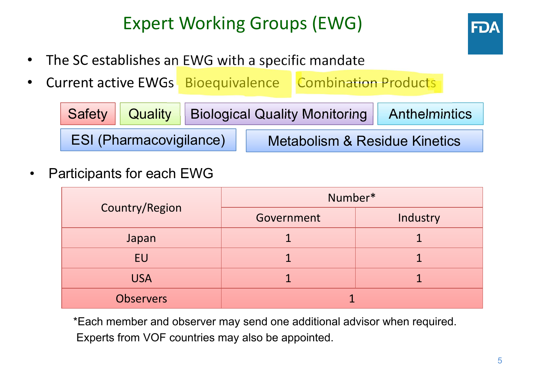### Expert Working Groups (EWG)



- •The SC establishes an EWG with a specific mandate
- •Current active EWGs Bioequivalence Combination Products

|                                |  | Safety   Quality   Biological Quality Monitoring   Anthelmintics |  |  |
|--------------------------------|--|------------------------------------------------------------------|--|--|
| <b>ESI (Pharmacovigilance)</b> |  | Metabolism & Residue Kinetics                                    |  |  |

•Participants for each EWG

|                  | Number*    |          |  |
|------------------|------------|----------|--|
| Country/Region   | Government | Industry |  |
| Japan            |            |          |  |
| EU               |            |          |  |
| <b>USA</b>       |            |          |  |
| <b>Observers</b> |            |          |  |

\*Each member and observer may send one additional advisor when required. Experts from VOF countries may also be appointed.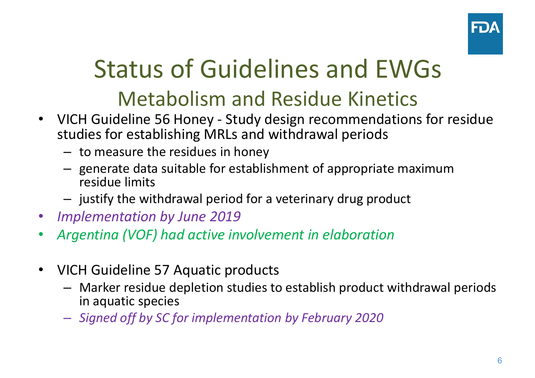

### Status of Guidelines and EWGsMetabolism and Residue Kinetics

- VICH Guideline 56 Honey Study design recommendations for residue studies for establishing MRLs and withdrawal periods
	- – $-$  to measure the residues in honey
	- – $-$  generate data suitable for establishment of appropriate maximum residue limits
	- – $-$  justify the withdrawal period for a veterinary drug product
- •*Implementation by June 2019*
- •*Argentina (VOF) had active involvement in elaboration*
- • VICH Guideline 57 Aquatic products
	- – Marker residue depletion studies to establish product withdrawal periods in aquatic species
	- *Signed off by SC for implementation by February 2020*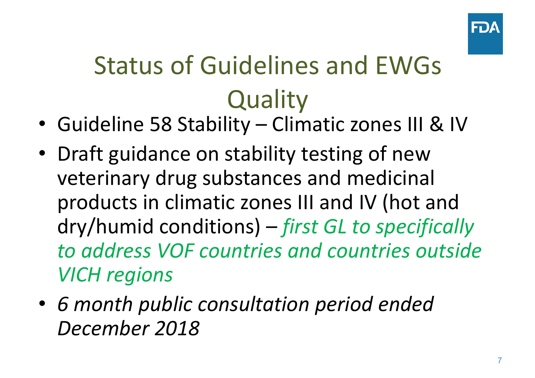

# Status of Guidelines and EWGs**Quality**

- Guideline 58 Stability Climatic zones III & IV
- Draft guidance on stability testing of new veterinary drug substances and medicinal products in climatic zones III and IV (hot and dry/humid conditions) – *first GL to specifically to address VOF countries and countries outside VICH regions*
- *6 month public consultation period ended December 2018*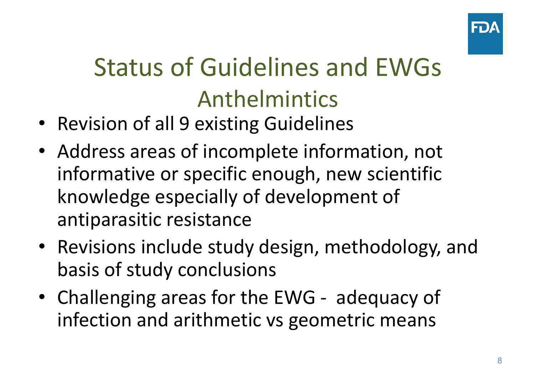

# Status of Guidelines and EWGsAnthelmintics

- Revision of all 9 existing Guidelines
- Address areas of incomplete information, not informative or specific enough, new scientific knowledge especially of development of antiparasitic resistance
- Revisions include study design, methodology, and basis of study conclusions
- Challenging areas for the EWG adequacy of infection and arithmetic vs geometric means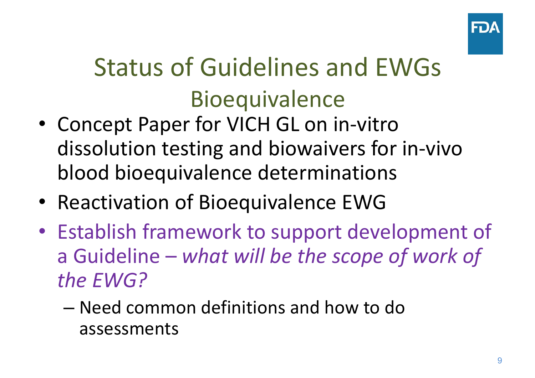

# Status of Guidelines and EWGs **Bioequivalence**

- Concept Paper for VICH GL on in-vitro dissolution testing and biowaivers for in-vivo blood bioequivalence determinations
- Reactivation of Bioequivalence EWG
- Establish framework to support development of a Guideline – *what will be the scope of work of the EWG?*
	- Need common definitions and how to do assessments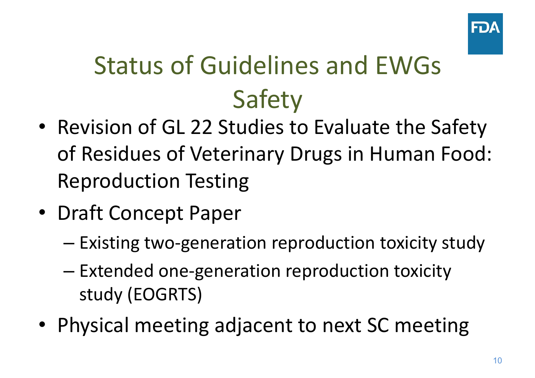

# Status of Guidelines and EWGs Safety

- Revision of GL 22 Studies to Evaluate the Safety of Residues of Veterinary Drugs in Human Food: Reproduction Testing
- Draft Concept Paper
	- –Existing two-generation reproduction toxicity study
	- – Extended one-generation reproduction toxicity study (EOGRTS)
- Physical meeting adjacent to next SC meeting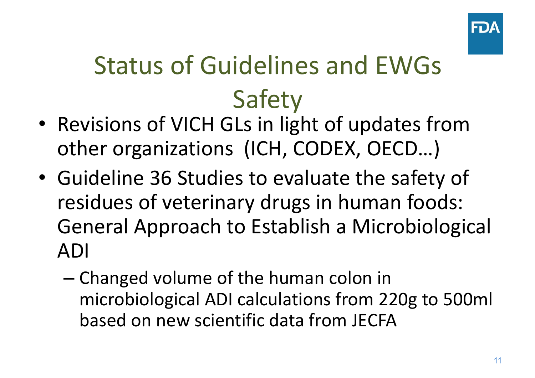

# Status of Guidelines and EWGsSafety

- Revisions of VICH GLs in light of updates from other organizations (ICH, CODEX, OECD…)
- Guideline 36 Studies to evaluate the safety of residues of veterinary drugs in human foods: General Approach to Establish a Microbiological ADI
	- – Changed volume of the human colon in microbiological ADI calculations from 220g to 500ml based on new scientific data from JECFA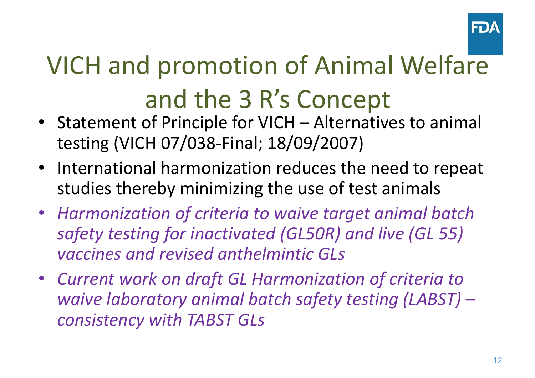

# VICH and promotion of Animal Welfare and the 3 R's Concept

- Statement of Principle for VICH Alternatives to animal testing (VICH 07/038-Final; 18/09/2007)
- International harmonization reduces the need to repeat studies thereby minimizing the use of test animals
- *Harmonization of criteria to waive target animal batch safety testing for inactivated (GL50R) and live (GL 55) vaccines and revised anthelmintic GLs*
- *Current work on draft GL Harmonization of criteria to waive laboratory animal batch safety testing (LABST) – consistency with TABST GLs*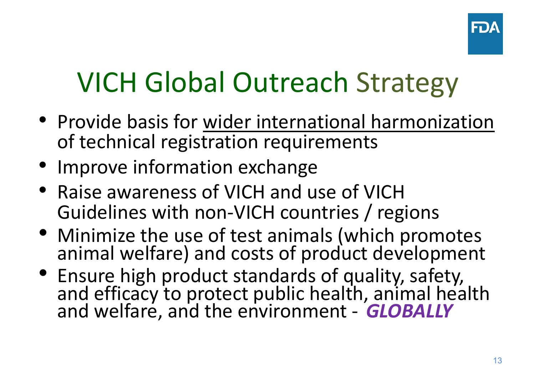

# VICH Global Outreach Strategy

- Provide basis for wider international harmonization of technical registration requirements
- Improve information exchange
- Raise awareness of VICH and use of VICH Guidelines with non-VICH countries / regions
- Minimize the use of test animals (which promotes animal welfare) and costs of product development
- Ensure high product standards of quality, safety, and efficacy to protect public health, animal health and welfare, and the environment *GLOBALLY*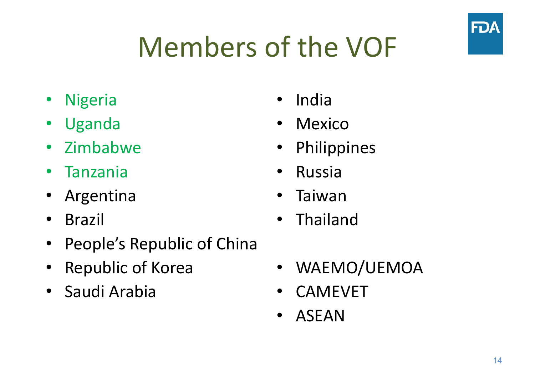# Members of the VOF

- Nigeria
- Uganda
- Zimbabwe
- Tanzania
- Argentina
- $\bullet$ Brazil
- People's Republic of China
- Republic of Korea
- Saudi Arabia
- •India
- Mexico
- Philippines
- $\bullet$ Russia
- •Taiwan
- •Thailand
- $\bullet$ WAEMO/UEMOA
- $\bullet$ CAMEVET
- •ASEAN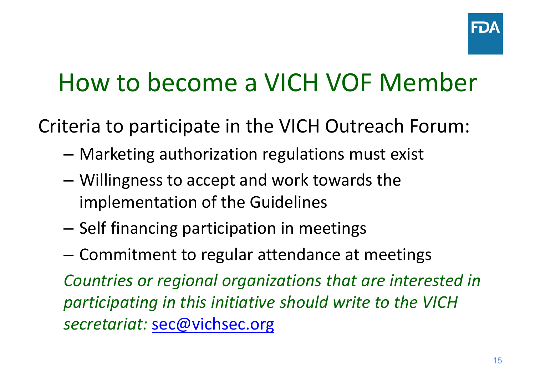## How to become a VICH VOF Member

Criteria to participate in the VICH Outreach Forum:

- –Marketing authorization regulations must exist
- – Willingness to accept and work towards the implementation of the Guidelines
- – $-$  Self financing participation in meetings
- –Commitment to regular attendance at meetings

*Countries or regional organizations that are interested in participating in this initiative should write to the VICH secretariat:* sec@vichsec.org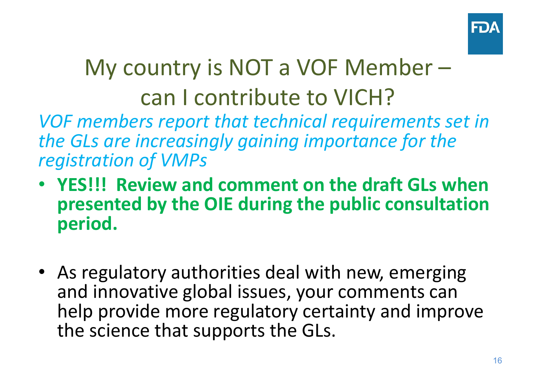

### My country is NOT a VOF Member – can I contribute to VICH?

*VOF members report that technical requirements set in the GLs are increasingly gaining importance for the registration of VMPs*

- **YES!!! Review and comment on the draft GLs when presented by the OIE during the public consultation period.**
- As regulatory authorities deal with new, emerging and innovative global issues, your comments can help provide more regulatory certainty and improve the science that supports the GLs.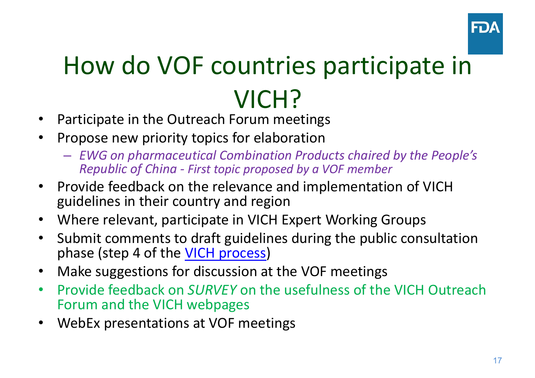

# How do VOF countries participate in VICH?

- •Participate in the Outreach Forum meetings
- • Propose new priority topics for elaboration
	- *EWG on pharmaceutical Combination Products chaired by the People's Republic of China - First topic proposed by a VOF member*
- • Provide feedback on the relevance and implementation of VICH guidelines in their country and region
- •Where relevant, participate in VICH Expert Working Groups
- $\bullet$  Submit comments to draft guidelines during the public consultation phase (step 4 of the VICH process)
- •Make suggestions for discussion at the VOF meetings
- • Provide feedback on *SURVEY* on the usefulness of the VICH Outreach Forum and the VICH webpages
- •WebEx presentations at VOF meetings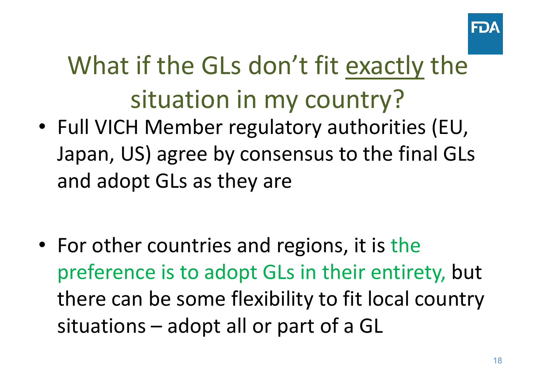

# What if the GLs don't fit exactly the situation in my country?

• Full VICH Member regulatory authorities (EU, Japan, US) agree by consensus to the final GLs and adopt GLs as they are

• For other countries and regions, it is the preference is to adopt GLs in their entirety, but there can be some flexibility to fit local country situations – adopt all or part of a GL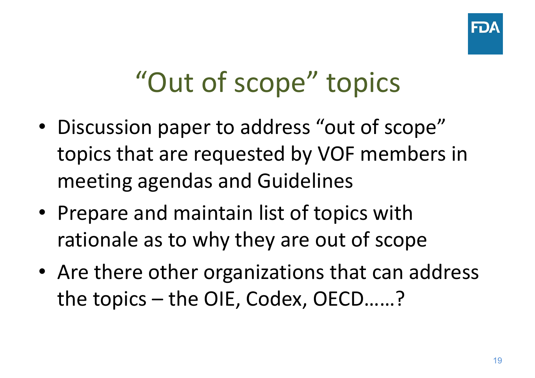

# "Out of scope" topics

- Discussion paper to address "out of scope" topics that are requested by VOF members in meeting agendas and Guidelines
- Prepare and maintain list of topics with rationale as to why they are out of scope
- Are there other organizations that can address the topics – the OIE, Codex, OECD……?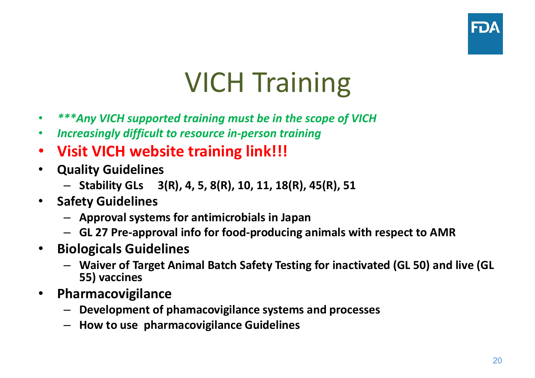

# VICH Training

- •*\*\*\*Any VICH supported training must be in the scope of VICH*
- •*Increasingly difficult to resource in-person training*
- $\bullet$ **Visit VICH website training link!!!**
- • **Quality Guidelines**
	- **Stability GLs 3(R), 4, 5, 8(R), 10, 11, 18(R), 45(R), 51**
- • **Safety Guidelines**
	- **Approval systems for antimicrobials in Japan**
	- **GL 27 Pre-approval info for food-producing animals with respect to AMR**
- • **Biologicals Guidelines**
	- **Waiver of Target Animal Batch Safety Testing for inactivated (GL 50) and live (GL 55) vaccines**
- $\bullet$  **Pharmacovigilance** 
	- **Development of phamacovigilance systems and processes**
	- **How to use pharmacovigilance Guidelines**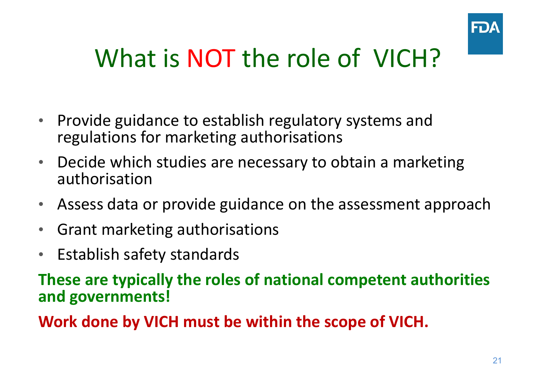

### What is NOT the role of VICH?

- $\bullet$  Provide guidance to establish regulatory systems and regulations for marketing authorisations
- • Decide which studies are necessary to obtain a marketing authorisation
- •Assess data or provide guidance on the assessment approach
- $\bullet$ Grant marketing authorisations
- •Establish safety standards

**These are typically the roles of national competent authorities and governments!**

**Work done by VICH must be within the scope of VICH.**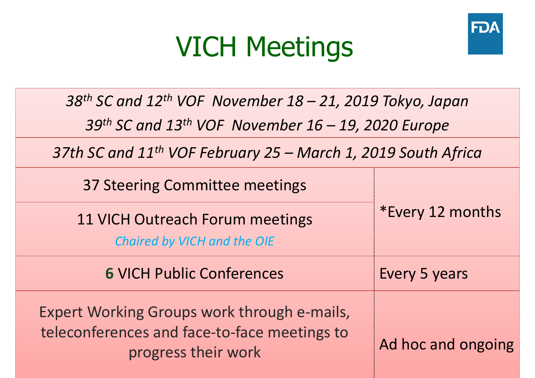## VICH Meetings



*38th SC and 12th VOF November 18 – 21, 2019 Tokyo, Japan*

*39th SC and 13th VOF November 16 – 19, 2020 Europe*

*37th SC and 11th VOF February 25 – March 1, 2019 South Africa*

| 37 Steering Committee meetings                                                                                     |                    |
|--------------------------------------------------------------------------------------------------------------------|--------------------|
| 11 VICH Outreach Forum meetings<br>Chaired by VICH and the OIE                                                     | *Every 12 months   |
| <b>6 VICH Public Conferences</b>                                                                                   | Every 5 years      |
| Expert Working Groups work through e-mails,<br>teleconferences and face-to-face meetings to<br>progress their work | Ad hoc and ongoing |